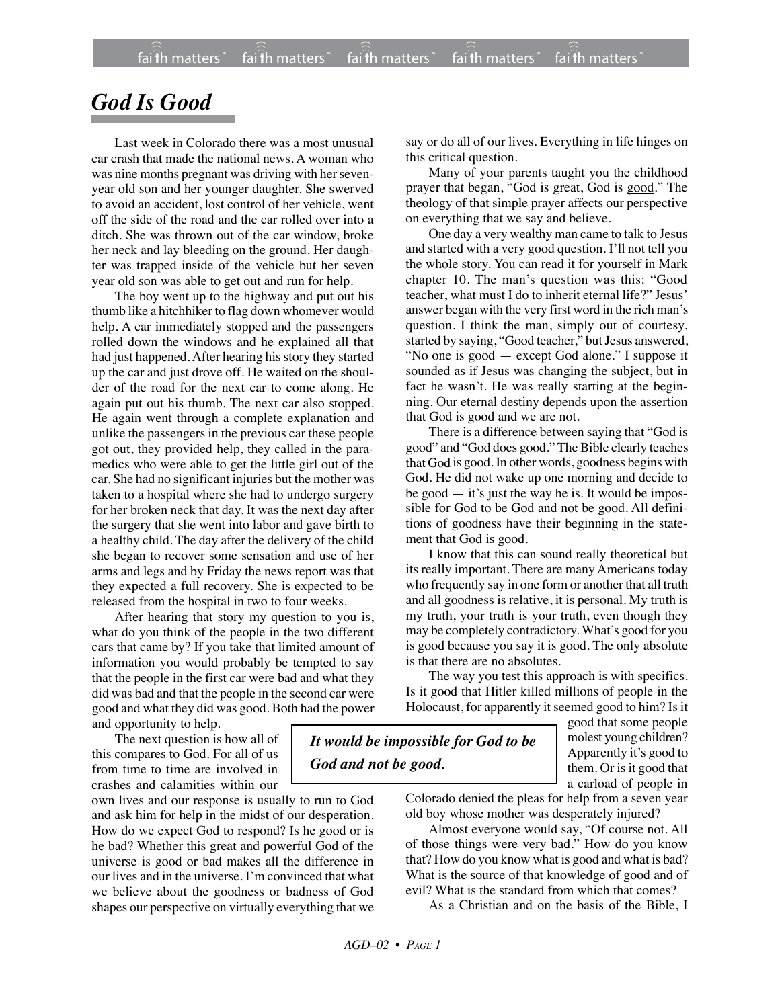## *God Is Good*

Last week in Colorado there was a most unusual car crash that made the national news. A woman who was nine months pregnant was driving with her sevenyear old son and her younger daughter. She swerved to avoid an accident, lost control of her vehicle, went off the side of the road and the car rolled over into a ditch. She was thrown out of the car window, broke her neck and lay bleeding on the ground. Her daughter was trapped inside of the vehicle but her seven year old son was able to get out and run for help.

The boy went up to the highway and put out his thumb like a hitchhiker to flag down whomever would help. A car immediately stopped and the passengers rolled down the windows and he explained all that had just happened. After hearing his story they started up the car and just drove off. He waited on the shoulder of the road for the next car to come along. He again put out his thumb. The next car also stopped. He again went through a complete explanation and unlike the passengers in the previous car these people got out, they provided help, they called in the paramedics who were able to get the little girl out of the car. She had no significant injuries but the mother was taken to a hospital where she had to undergo surgery for her broken neck that day. It was the next day after the surgery that she went into labor and gave birth to a healthy child. The day after the delivery of the child she began to recover some sensation and use of her arms and legs and by Friday the news report was that they expected a full recovery. She is expected to be released from the hospital in two to four weeks.

After hearing that story my question to you is, what do you think of the people in the two different cars that came by? If you take that limited amount of information you would probably be tempted to say that the people in the first car were bad and what they did was bad and that the people in the second car were good and what they did was good. Both had the power and opportunity to help.

The next question is how all of this compares to God. For all of us from time to time are involved in crashes and calamities within our

own lives and our response is usually to run to God and ask him for help in the midst of our desperation. How do we expect God to respond? Is he good or is he bad? Whether this great and powerful God of the universe is good or bad makes all the difference in our lives and in the universe. I'm convinced that what we believe about the goodness or badness of God shapes our perspective on virtually everything that we say or do all of our lives. Everything in life hinges on this critical question.

Many of your parents taught you the childhood prayer that began, "God is great, God is good." The theology of that simple prayer affects our perspective on everything that we say and believe.

One day a very wealthy man came to talk to Jesus and started with a very good question. I'll not tell you the whole story. You can read it for yourself in Mark chapter 10. The man's question was this: "Good teacher, what must I do to inherit eternal life?" Jesus' answer began with the very first word in the rich man's question. I think the man, simply out of courtesy, started by saying, "Good teacher," but Jesus answered, "No one is good — except God alone." I suppose it sounded as if Jesus was changing the subject, but in fact he wasn't. He was really starting at the beginning. Our eternal destiny depends upon the assertion that God is good and we are not.

There is a difference between saying that "God is good" and "God does good." The Bible clearly teaches that God is good. In other words, goodness begins with God. He did not wake up one morning and decide to be good  $-$  it's just the way he is. It would be impossible for God to be God and not be good. All definitions of goodness have their beginning in the statement that God is good.

I know that this can sound really theoretical but its really important. There are many Americans today who frequently say in one form or another that all truth and all goodness is relative, it is personal. My truth is my truth, your truth is your truth, even though they may be completely contradictory. What's good for you is good because you say it is good. The only absolute is that there are no absolutes.

The way you test this approach is with specifics. Is it good that Hitler killed millions of people in the Holocaust, for apparently it seemed good to him? Is it

*It would be impossible for God to be God and not be good.*

good that some people molest young children? Apparently it's good to them. Or is it good that a carload of people in

Colorado denied the pleas for help from a seven year old boy whose mother was desperately injured?

Almost everyone would say, "Of course not. All of those things were very bad." How do you know that? How do you know what is good and what is bad? What is the source of that knowledge of good and of evil? What is the standard from which that comes?

As a Christian and on the basis of the Bible, I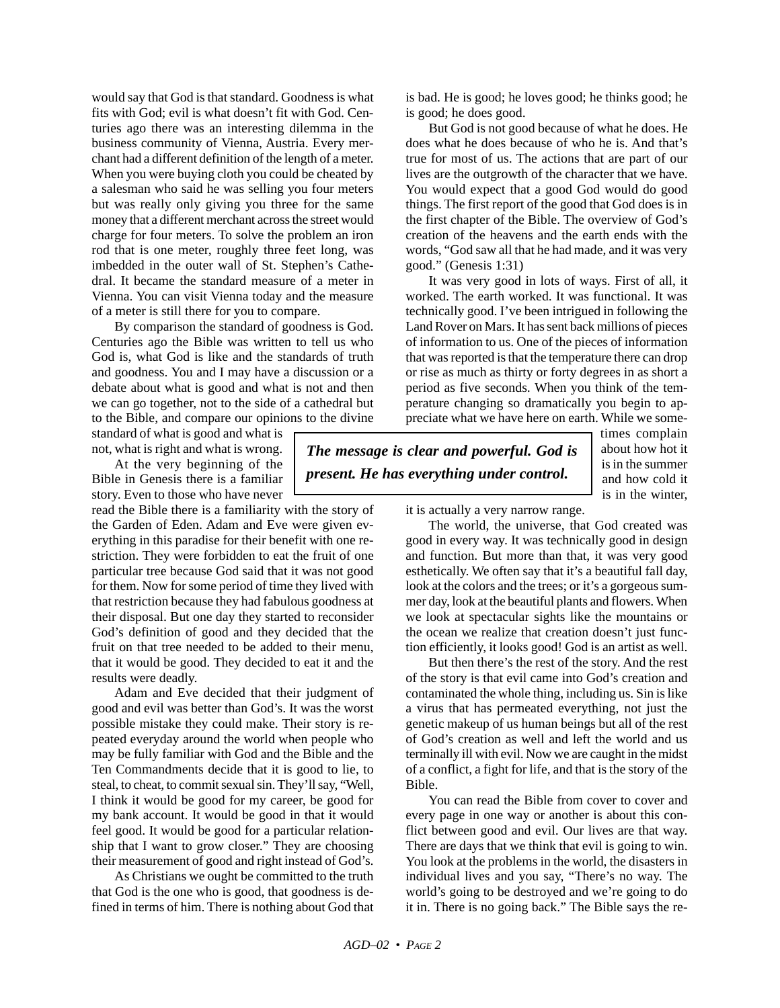would say that God is that standard. Goodness is what fits with God; evil is what doesn't fit with God. Centuries ago there was an interesting dilemma in the business community of Vienna, Austria. Every merchant had a different definition of the length of a meter. When you were buying cloth you could be cheated by a salesman who said he was selling you four meters but was really only giving you three for the same money that a different merchant across the street would charge for four meters. To solve the problem an iron rod that is one meter, roughly three feet long, was imbedded in the outer wall of St. Stephen's Cathedral. It became the standard measure of a meter in Vienna. You can visit Vienna today and the measure of a meter is still there for you to compare.

By comparison the standard of goodness is God. Centuries ago the Bible was written to tell us who God is, what God is like and the standards of truth and goodness. You and I may have a discussion or a debate about what is good and what is not and then we can go together, not to the side of a cathedral but to the Bible, and compare our opinions to the divine

standard of what is good and what is not, what is right and what is wrong.

At the very beginning of the Bible in Genesis there is a familiar story. Even to those who have never

read the Bible there is a familiarity with the story of the Garden of Eden. Adam and Eve were given everything in this paradise for their benefit with one restriction. They were forbidden to eat the fruit of one particular tree because God said that it was not good for them. Now for some period of time they lived with that restriction because they had fabulous goodness at their disposal. But one day they started to reconsider God's definition of good and they decided that the fruit on that tree needed to be added to their menu, that it would be good. They decided to eat it and the results were deadly.

Adam and Eve decided that their judgment of good and evil was better than God's. It was the worst possible mistake they could make. Their story is repeated everyday around the world when people who may be fully familiar with God and the Bible and the Ten Commandments decide that it is good to lie, to steal, to cheat, to commit sexual sin. They'll say, "Well, I think it would be good for my career, be good for my bank account. It would be good in that it would feel good. It would be good for a particular relationship that I want to grow closer." They are choosing their measurement of good and right instead of God's.

As Christians we ought be committed to the truth that God is the one who is good, that goodness is defined in terms of him. There is nothing about God that is bad. He is good; he loves good; he thinks good; he is good; he does good.

But God is not good because of what he does. He does what he does because of who he is. And that's true for most of us. The actions that are part of our lives are the outgrowth of the character that we have. You would expect that a good God would do good things. The first report of the good that God does is in the first chapter of the Bible. The overview of God's creation of the heavens and the earth ends with the words, "God saw all that he had made, and it was very good." (Genesis 1:31)

It was very good in lots of ways. First of all, it worked. The earth worked. It was functional. It was technically good. I've been intrigued in following the Land Rover on Mars. It has sent back millions of pieces of information to us. One of the pieces of information that was reported is that the temperature there can drop or rise as much as thirty or forty degrees in as short a period as five seconds. When you think of the temperature changing so dramatically you begin to appreciate what we have here on earth. While we some-

*The message is clear and powerful. God is present. He has everything under control.*

times complain about how hot it is in the summer and how cold it is in the winter,

it is actually a very narrow range.

The world, the universe, that God created was good in every way. It was technically good in design and function. But more than that, it was very good esthetically. We often say that it's a beautiful fall day, look at the colors and the trees; or it's a gorgeous summer day, look at the beautiful plants and flowers. When we look at spectacular sights like the mountains or the ocean we realize that creation doesn't just function efficiently, it looks good! God is an artist as well.

But then there's the rest of the story. And the rest of the story is that evil came into God's creation and contaminated the whole thing, including us. Sin is like a virus that has permeated everything, not just the genetic makeup of us human beings but all of the rest of God's creation as well and left the world and us terminally ill with evil. Now we are caught in the midst of a conflict, a fight for life, and that is the story of the Bible.

You can read the Bible from cover to cover and every page in one way or another is about this conflict between good and evil. Our lives are that way. There are days that we think that evil is going to win. You look at the problems in the world, the disasters in individual lives and you say, "There's no way. The world's going to be destroyed and we're going to do it in. There is no going back." The Bible says the re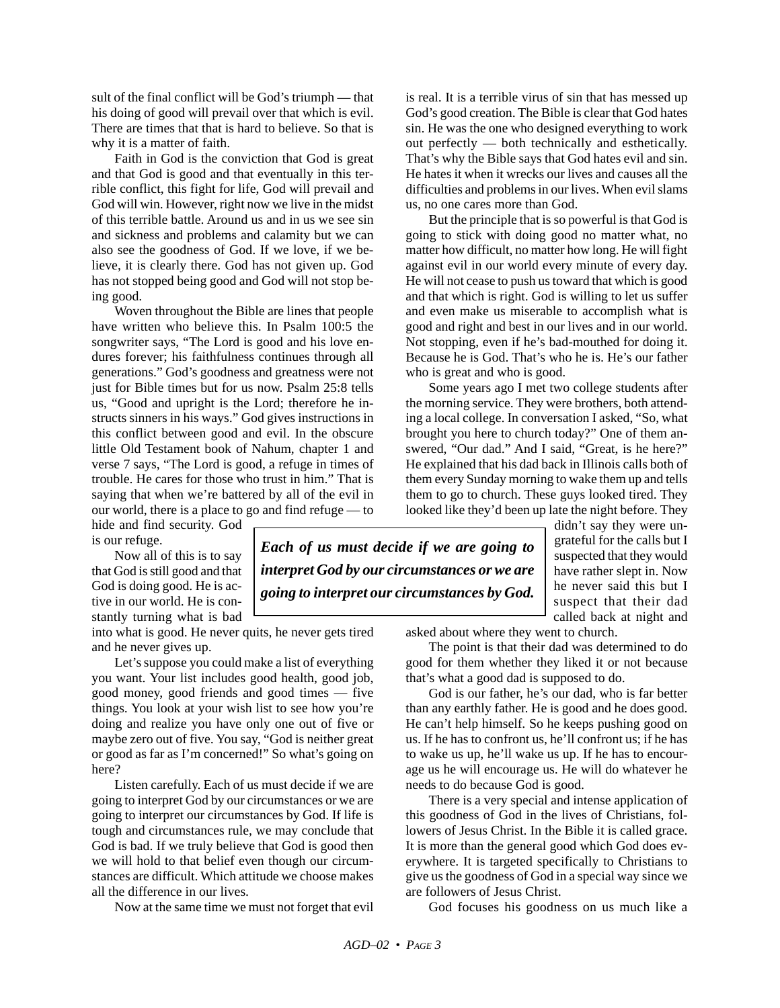sult of the final conflict will be God's triumph — that his doing of good will prevail over that which is evil. There are times that that is hard to believe. So that is why it is a matter of faith.

Faith in God is the conviction that God is great and that God is good and that eventually in this terrible conflict, this fight for life, God will prevail and God will win. However, right now we live in the midst of this terrible battle. Around us and in us we see sin and sickness and problems and calamity but we can also see the goodness of God. If we love, if we believe, it is clearly there. God has not given up. God has not stopped being good and God will not stop being good.

Woven throughout the Bible are lines that people have written who believe this. In Psalm 100:5 the songwriter says, "The Lord is good and his love endures forever; his faithfulness continues through all generations." God's goodness and greatness were not just for Bible times but for us now. Psalm 25:8 tells us, "Good and upright is the Lord; therefore he instructs sinners in his ways." God gives instructions in this conflict between good and evil. In the obscure little Old Testament book of Nahum, chapter 1 and verse 7 says, "The Lord is good, a refuge in times of trouble. He cares for those who trust in him." That is saying that when we're battered by all of the evil in our world, there is a place to go and find refuge — to

hide and find security. God is our refuge.

Now all of this is to say that God is still good and that God is doing good. He is active in our world. He is constantly turning what is bad

into what is good. He never quits, he never gets tired and he never gives up.

Let's suppose you could make a list of everything you want. Your list includes good health, good job, good money, good friends and good times — five things. You look at your wish list to see how you're doing and realize you have only one out of five or maybe zero out of five. You say, "God is neither great or good as far as I'm concerned!" So what's going on here?

Listen carefully. Each of us must decide if we are going to interpret God by our circumstances or we are going to interpret our circumstances by God. If life is tough and circumstances rule, we may conclude that God is bad. If we truly believe that God is good then we will hold to that belief even though our circumstances are difficult. Which attitude we choose makes all the difference in our lives.

Now at the same time we must not forget that evil

is real. It is a terrible virus of sin that has messed up God's good creation. The Bible is clear that God hates sin. He was the one who designed everything to work out perfectly — both technically and esthetically. That's why the Bible says that God hates evil and sin. He hates it when it wrecks our lives and causes all the difficulties and problems in our lives. When evil slams us, no one cares more than God.

But the principle that is so powerful is that God is going to stick with doing good no matter what, no matter how difficult, no matter how long. He will fight against evil in our world every minute of every day. He will not cease to push us toward that which is good and that which is right. God is willing to let us suffer and even make us miserable to accomplish what is good and right and best in our lives and in our world. Not stopping, even if he's bad-mouthed for doing it. Because he is God. That's who he is. He's our father who is great and who is good.

Some years ago I met two college students after the morning service. They were brothers, both attending a local college. In conversation I asked, "So, what brought you here to church today?" One of them answered, "Our dad." And I said, "Great, is he here?" He explained that his dad back in Illinois calls both of them every Sunday morning to wake them up and tells them to go to church. These guys looked tired. They looked like they'd been up late the night before. They

didn't say they were ungrateful for the calls but I suspected that they would have rather slept in. Now he never said this but I suspect that their dad called back at night and

*Each of us must decide if we are going to interpret God by our circumstances or we are going to interpret our circumstances by God.*

asked about where they went to church.

The point is that their dad was determined to do good for them whether they liked it or not because that's what a good dad is supposed to do.

God is our father, he's our dad, who is far better than any earthly father. He is good and he does good. He can't help himself. So he keeps pushing good on us. If he has to confront us, he'll confront us; if he has to wake us up, he'll wake us up. If he has to encourage us he will encourage us. He will do whatever he needs to do because God is good.

There is a very special and intense application of this goodness of God in the lives of Christians, followers of Jesus Christ. In the Bible it is called grace. It is more than the general good which God does everywhere. It is targeted specifically to Christians to give us the goodness of God in a special way since we are followers of Jesus Christ.

God focuses his goodness on us much like a